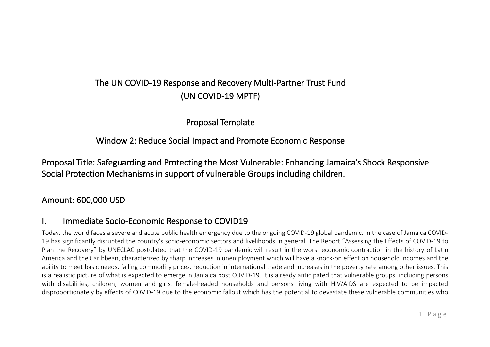# The UN COVID-19 Response and Recovery Multi-Partner Trust Fund (UN COVID-19 MPTF)

Proposal Template

### Window 2: Reduce Social Impact and Promote Economic Response

Proposal Title: Safeguarding and Protecting the Most Vulnerable: Enhancing Jamaica's Shock Responsive Social Protection Mechanisms in support of vulnerable Groups including children.

## Amount: 600,000 USD

## I. Immediate Socio-Economic Response to COVID19

Today, the world faces a severe and acute public health emergency due to the ongoing COVID-19 global pandemic. In the case of Jamaica COVID-19 has significantly disrupted the country's socio-economic sectors and livelihoods in general. The Report "Assessing the Effects of COVID-19 to Plan the Recovery" by UNECLAC postulated that the COVID-19 pandemic will result in the worst economic contraction in the history of Latin America and the Caribbean, characterized by sharp increases in unemployment which will have a knock-on effect on household incomes and the ability to meet basic needs, falling commodity prices, reduction in international trade and increases in the poverty rate among other issues. This is a realistic picture of what is expected to emerge in Jamaica post COVID-19. It is already anticipated that vulnerable groups, including persons with disabilities, children, women and girls, female-headed households and persons living with HIV/AIDS are expected to be impacted disproportionately by effects of COVID-19 due to the economic fallout which has the potential to devastate these vulnerable communities who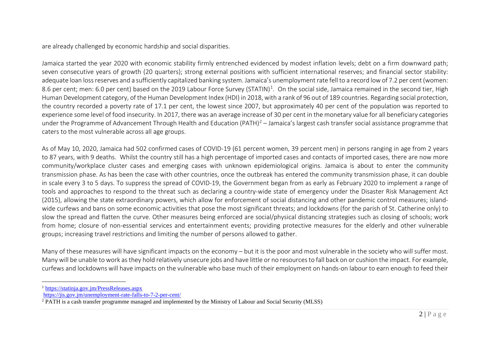<span id="page-1-1"></span><span id="page-1-0"></span>are already challenged by economic hardship and social disparities.

Jamaica started the year 2020 with economic stability firmly entrenched evidenced by modest inflation levels; debt on a firm downward path; seven consecutive years of growth (20 quarters); strong external positions with sufficient international reserves; and financial sector stability: adequate loan loss reserves and a sufficiently capitalized banking system. Jamaica's unemployment rate fell to a record low of 7.2 per cent (women: 8.6 per cent; men: 6.0 per cent) based on the 2019 Labour Force Survey (STATIN)<sup>1</sup>. On the social side, Jamaica remained in the second tier, High Human Development category, of the Human Development Index (HDI) in 2018, with a rank of 96 out of 189 countries. Regarding social protection, the country recorded a poverty rate of 17.1 per cent, the lowest since 2007, but approximately 40 per cent of the population was reported to experience some level of food insecurity. In 2017, there was an average increase of 30 per cent in the monetary value for all beneficiary categories under the Programme of Advancement Through Health and Education (PATH)<sup>[2](#page-1-1)</sup> – Jamaica's largest cash transfer social assistance programme that caters to the most vulnerable across all age groups.

As of May 10, 2020, Jamaica had 502 confirmed cases of COVID-19 (61 percent women, 39 percent men) in persons ranging in age from 2 years to 87 years, with 9 deaths. Whilst the country still has a high percentage of imported cases and contacts of imported cases, there are now more community/workplace cluster cases and emerging cases with unknown epidemiological origins. Jamaica is about to enter the community transmission phase. As has been the case with other countries, once the outbreak has entered the community transmission phase, it can double in scale every 3 to 5 days. To suppress the spread of COVID-19, the Government began from as early as February 2020 to implement a range of tools and approaches to respond to the threat such as declaring a country-wide state of emergency under the Disaster Risk Management Act (2015), allowing the state extraordinary powers, which allow for enforcement of social distancing and other pandemic control measures; islandwide curfews and bans on some economic activities that pose the most significant threats; and lockdowns (for the parish of St. Catherine only) to slow the spread and flatten the curve. Other measures being enforced are social/physical distancing strategies such as closing of schools; work from home; closure of non-essential services and entertainment events; providing protective measures for the elderly and other vulnerable groups; increasing travel restrictions and limiting the number of persons allowed to gather.

Many of these measures will have significant impacts on the economy – but it is the poor and most vulnerable in the society who will suffer most. Many will be unable to work as they hold relatively unsecure jobs and have little or no resources to fall back on or cushion the impact. For example, curfews and lockdowns will have impacts on the vulnerable who base much of their employment on hands-on labour to earn enough to feed their

<sup>1</sup> <https://statinja.gov.jm/PressReleases.aspx>

<https://jis.gov.jm/unemployment-rate-falls-to-7-2-per-cent/>

<sup>&</sup>lt;sup>2</sup> PATH is a cash transfer programme managed and implemented by the Ministry of Labour and Social Security (MLSS)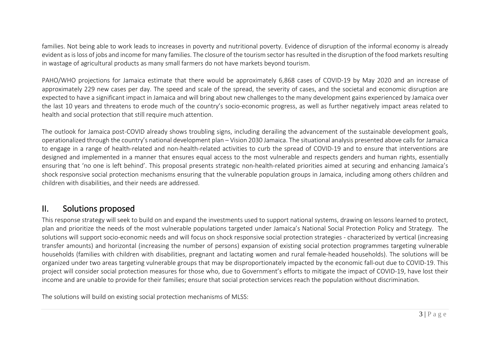families. Not being able to work leads to increases in poverty and nutritional poverty. Evidence of disruption of the informal economy is already evident as is loss of jobs and income for many families. The closure of the tourism sector has resulted in the disruption of the food markets resulting in wastage of agricultural products as many small farmers do not have markets beyond tourism.

PAHO/WHO projections for Jamaica estimate that there would be approximately 6,868 cases of COVID-19 by May 2020 and an increase of approximately 229 new cases per day. The speed and scale of the spread, the severity of cases, and the societal and economic disruption are expected to have a significant impact in Jamaica and will bring about new challenges to the many development gains experienced by Jamaica over the last 10 years and threatens to erode much of the country's socio-economic progress, as well as further negatively impact areas related to health and social protection that still require much attention.

The outlook for Jamaica post-COVID already shows troubling signs, including derailing the advancement of the sustainable development goals, operationalized through the country's national development plan – Vision 2030 Jamaica. The situational analysis presented above calls for Jamaica to engage in a range of health-related and non-health-related activities to curb the spread of COVID-19 and to ensure that interventions are designed and implemented in a manner that ensures equal access to the most vulnerable and respects genders and human rights, essentially ensuring that 'no one is left behind'. This proposal presents strategic non-health-related priorities aimed at securing and enhancing Jamaica's shock responsive social protection mechanisms ensuring that the vulnerable population groups in Jamaica, including among others children and children with disabilities, and their needs are addressed.

## II. Solutions proposed

This response strategy will seek to build on and expand the investments used to support national systems, drawing on lessons learned to protect, plan and prioritize the needs of the most vulnerable populations targeted under Jamaica's National Social Protection Policy and Strategy. The solutions will support socio-economic needs and will focus on shock responsive social protection strategies - characterized by vertical (increasing transfer amounts) and horizontal (increasing the number of persons) expansion of existing social protection programmes targeting vulnerable households (families with children with disabilities, pregnant and lactating women and rural female-headed households). The solutions will be organized under two areas targeting vulnerable groups that may be disproportionately impacted by the economic fall-out due to COVID-19. This project will consider social protection measures for those who, due to Government's efforts to mitigate the impact of COVID-19, have lost their income and are unable to provide for their families; ensure that social protection services reach the population without discrimination.

The solutions will build on existing social protection mechanisms of MLSS: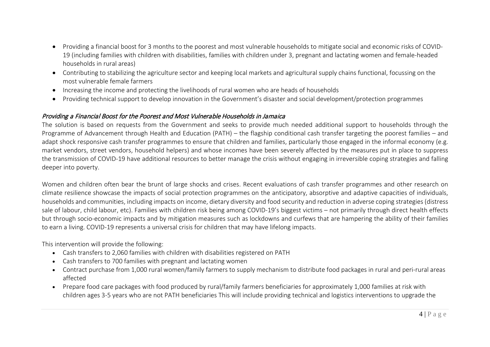- Providing a financial boost for 3 months to the poorest and most vulnerable households to mitigate social and economic risks of COVID-19 (including families with children with disabilities, families with children under 3, pregnant and lactating women and female-headed households in rural areas)
- Contributing to stabilizing the agriculture sector and keeping local markets and agricultural supply chains functional, focussing on the most vulnerable female farmers
- Increasing the income and protecting the livelihoods of rural women who are heads of households
- Providing technical support to develop innovation in the Government's disaster and social development/protection programmes

#### Providing a Financial Boost for the Poorest and Most Vulnerable Households in Jamaica

The solution is based on requests from the Government and seeks to provide much needed additional support to households through the Programme of Advancement through Health and Education (PATH) – the flagship conditional cash transfer targeting the poorest families – and adapt shock responsive cash transfer programmes to ensure that children and families, particularly those engaged in the informal economy (e.g. market vendors, street vendors, household helpers) and whose incomes have been severely affected by the measures put in place to suppress the transmission of COVID-19 have additional resources to better manage the crisis without engaging in irreversible coping strategies and falling deeper into poverty.

Women and children often bear the brunt of large shocks and crises. Recent evaluations of cash transfer programmes and other research on climate resilience showcase the impacts of social protection programmes on the anticipatory, absorptive and adaptive capacities of individuals, households and communities, including impacts on income, dietary diversity and food security and reduction in adverse coping strategies (distress sale of labour, child labour, etc). Families with children risk being among COVID-19's biggest victims – not primarily through direct health effects but through socio-economic impacts and by mitigation measures such as lockdowns and curfews that are hampering the ability of their families to earn a living. COVID-19 represents a universal crisis for children that may have lifelong impacts.

This intervention will provide the following:

- Cash transfers to 2,060 families with children with disabilities registered on PATH
- Cash transfers to 700 families with pregnant and lactating women
- Contract purchase from 1,000 rural women/family farmers to supply mechanism to distribute food packages in rural and peri-rural areas affected
- Prepare food care packages with food produced by rural/family farmers beneficiaries for approximately 1,000 families at risk with children ages 3-5 years who are not PATH beneficiaries This will include providing technical and logistics interventions to upgrade the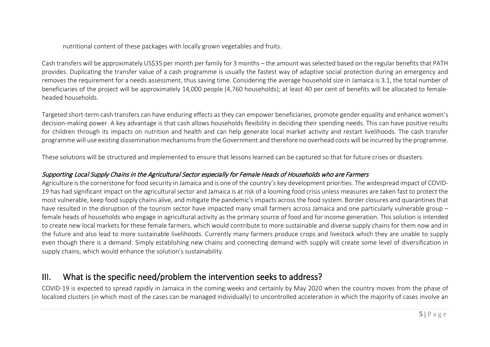nutritional content of these packages with locally grown vegetables and fruits.

Cash transfers will be approximately US\$35 per month per family for 3 months – the amount wasselected based on the regular benefits that PATH provides. Duplicating the transfer value of a cash programme is usually the fastest way of adaptive social protection during an emergency and removes the requirement for a needs assessment, thus saving time. Considering the average household size in Jamaica is 3.1, the total number of beneficiaries of the project will be approximately 14,000 people (4,760 households); at least 40 per cent of benefits will be allocated to femaleheaded households.

Targeted short-term cash transfers can have enduring effects as they can empower beneficiaries, promote gender equality and enhance women's decision-making power. A key advantage is that cash allows households flexibility in deciding their spending needs. This can have positive results for children through its impacts on nutrition and health and can help generate local market activity and restart livelihoods. The cash transfer programme will use existing dissemination mechanisms from the Government and therefore no overhead costswill be incurred by the programme.

These solutions will be structured and implemented to ensure that lessons learned can be captured so that for future crises or disasters.

#### Supporting Local Supply Chains in the Agricultural Sector especially for Female Heads of Households who are Farmers

Agriculture is the cornerstone for food security in Jamaica and is one of the country's key development priorities. The widespread impact of COVID-19 has had significant impact on the agricultural sector and Jamaica is at risk of a looming food crisis unless measures are taken fast to protect the most vulnerable, keep food supply chains alive, and mitigate the pandemic's impacts across the food system. Border closures and quarantinesthat have resulted in the disruption of the tourism sector have impacted many small farmers across Jamaica and one particularly vulnerable group – female heads of households who engage in agricultural activity as the primary source of food and for income generation. This solution is intended to create new local markets for these female farmers, which would contribute to more sustainable and diverse supply chains for them now and in the future and also lead to more sustainable livelihoods. Currently many farmers produce crops and livestock which they are unable to supply even though there is a demand. Simply establishing new chains and connecting demand with supply will create some level of diversification in supply chains, which would enhance the solution's sustainability.

# III. What is the specific need/problem the intervention seeks to address?

COVID-19 is expected to spread rapidly in Jamaica in the coming weeks and certainly by May 2020 when the country moves from the phase of localized clusters (in which most of the cases can be managed individually) to uncontrolled acceleration in which the majority of cases involve an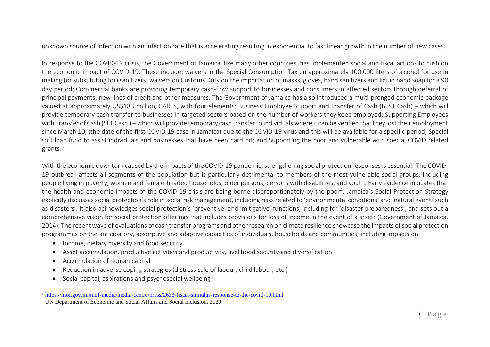<span id="page-5-1"></span><span id="page-5-0"></span>unknown source of infection with an infection rate that is accelerating resulting in exponential to fast linear growth in the number of new cases.

In response to the COVID-19 crisis, the Government of Jamaica, like many other countries, has implemented social and fiscal actions to cushion the economic impact of COVID-19. These include: waivers in the Special Consumption Tax on approximately 100,000 liters of alcohol for use in making (or substituting for) sanitizers; waivers on Customs Duty on the importation of masks, gloves, hand sanitizers and liquid hand soap for a 90 day period; Commercial banks are providing temporary cash-flow support to businesses and consumers in affected sectors through deferral of principal payments, new lines of credit and other measures. The Government of Jamaica has also introduced a multi-pronged economic package valued at approximately US\$183 million, CARES, with four elements: Business Employee Support and Transfer of Cash (BEST Cash) – which will provide temporary cash transfer to businesses in targeted sectors based on the number of workers they keep employed; Supporting Employees with Transfer of Cash (SET Cash ) –which will provide temporary cash transfer to individuals where it can be verified that they lost their employment since March 10, (the date of the first COVID-19 case in Jamaica) due to the COVID-19 virus and this will be available for a specific period; Special soft loan fund to assist individuals and businesses that have been hard hit; and Supporting the poor and vulnerable with special COVID related grants.[3](#page-5-0)

With the economic downturn caused by the impacts of the COVID-19 pandemic, strengthening social protection responses is essential. The COVID-19 outbreak affects all segments of the population but is particularly detrimental to members of the most vulnerable social groups, including people living in poverty, women and female-headed households, older persons, persons with disabilities, and youth. Early evidence indicates that the health and economic impacts of the COVID 19 crisis are being borne disproportionately by the poor<sup>4</sup>. Jamaica's Social Protection Strategy explicitly discusses social protection's role in social risk management, including risks related to 'environmental conditions' and 'natural events such as disasters'. It also acknowledges social protection's 'preventive' and 'mitigative' functions, including for 'disaster preparedness', and sets out a comprehensive vision for social protection offerings that includes provisions for loss of income in the event of a shock (Government of Jamaica, 2014). The recent wave of evaluations of cash transfer programs and other research on climate resilience showcase the impacts of social protection programmes on the anticipatory, absorptive and adaptive capacities of individuals, households and communities, including impacts on:

- Income, dietary diversity and food security
- Asset accumulation, productive activities and productivity, livelihood security and diversification
- Accumulation of human capital
- Reduction in adverse coping strategies (distress sale of labour, child labour, etc.)
- Social capital, aspirations and psychosocial wellbeing

<sup>3</sup> <https://mof.gov.jm/mof-media/media-centre/press/2633-fiscal-stimulus-response-to-the-covid-19.html>

<sup>4</sup> UN Department of Economic and Social Affairs and Social Inclusion, 2020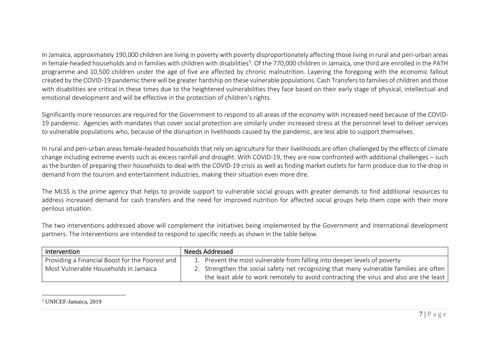<span id="page-6-0"></span>In Jamaica, approximately 190,000 children are living in poverty with poverty disproportionately affecting those living in rural and peri-urban areas in female-headed households and in families with children with disabilities<sup>5</sup>. Of the 770,000 children in Jamaica, one third are enrolled in the PATH programme and 10,500 children under the age of five are affected by chronic malnutrition. Layering the foregoing with the economic fallout created by the COVID-19 pandemic there will be greater hardship on these vulnerable populations. Cash Transfers to families of children and those with disabilities are critical in these times due to the heightened vulnerabilities they face based on their early stage of physical, intellectual and emotional development and will be effective in the protection of children's rights.

Significantly more resources are required for the Government to respond to all areas of the economy with increased need because of the COVID-19 pandemic. Agencies with mandates that cover social protection are similarly under increased stress at the personnel level to deliver services to vulnerable populations who, because of the disruption in livelihoods caused by the pandemic, are less able to support themselves.

In rural and peri-urban areas female-headed households that rely on agriculture for their livelihoods are often challenged by the effects of climate change including extreme events such as excess rainfall and drought. With COVID-19, they are now confronted with additional challenges – such as the burden of preparing their households to deal with the COVID-19 crisis as well as finding market outlets for farm produce due to the drop in demand from the tourism and entertainment industries, making their situation even more dire.

The MLSS is the prime agency that helps to provide support to vulnerable social groups with greater demands to find additional resources to address increased demand for cash transfers and the need for improved nutrition for affected social groups help them cope with their more perilous situation.

The two interventions addressed above will complement the initiatives being implemented by the Government and international development partners. The interventions are intended to respond to specific needs as shown in the table below.

| Intervention                                    | <b>Needs Addressed</b>                                                                  |
|-------------------------------------------------|-----------------------------------------------------------------------------------------|
| Providing a Financial Boost for the Poorest and | 1. Prevent the most vulnerable from falling into deeper levels of poverty               |
| Most Vulnerable Households in Jamaica           | 2. Strengthen the social safety net recognizing that many vulnerable families are often |
|                                                 | the least able to work remotely to avoid contracting the virus and also are the least   |

<sup>5</sup> UNICEF-Jamaica, 2019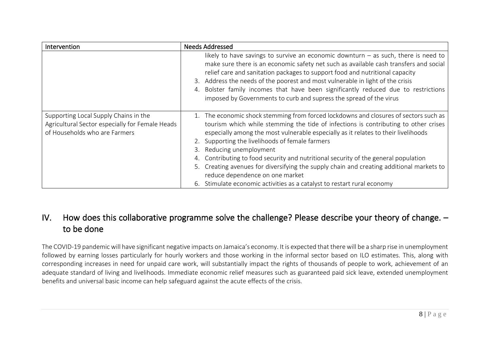| Intervention                                                                                                              | <b>Needs Addressed</b>                                                                                                                                                                                                                                                                                                                                                                                                                                                                                                                                                                                                                      |
|---------------------------------------------------------------------------------------------------------------------------|---------------------------------------------------------------------------------------------------------------------------------------------------------------------------------------------------------------------------------------------------------------------------------------------------------------------------------------------------------------------------------------------------------------------------------------------------------------------------------------------------------------------------------------------------------------------------------------------------------------------------------------------|
|                                                                                                                           | likely to have savings to survive an economic downturn $-$ as such, there is need to<br>make sure there is an economic safety net such as available cash transfers and social<br>relief care and sanitation packages to support food and nutritional capacity<br>3. Address the needs of the poorest and most vulnerable in light of the crisis<br>Bolster family incomes that have been significantly reduced due to restrictions<br>imposed by Governments to curb and supress the spread of the virus                                                                                                                                    |
| Supporting Local Supply Chains in the<br>Agricultural Sector especially for Female Heads<br>of Households who are Farmers | 1. The economic shock stemming from forced lockdowns and closures of sectors such as<br>tourism which while stemming the tide of infections is contributing to other crises<br>especially among the most vulnerable especially as it relates to their livelihoods<br>2. Supporting the livelihoods of female farmers<br>Reducing unemployment<br>Contributing to food security and nutritional security of the general population<br>Creating avenues for diversifying the supply chain and creating additional markets to<br>reduce dependence on one market<br>Stimulate economic activities as a catalyst to restart rural economy<br>6. |

# IV. How does this collaborative programme solve the challenge? Please describe your theory of change. – to be done

The COVID-19 pandemic will have significant negative impacts on Jamaica's economy. It is expected that there will be a sharp rise in unemployment followed by earning losses particularly for hourly workers and those working in the informal sector based on ILO estimates. This, along with corresponding increases in need for unpaid care work, will substantially impact the rights of thousands of people to work, achievement of an adequate standard of living and livelihoods. Immediate economic relief measures such as guaranteed paid sick leave, extended unemployment benefits and universal basic income can help safeguard against the acute effects of the crisis.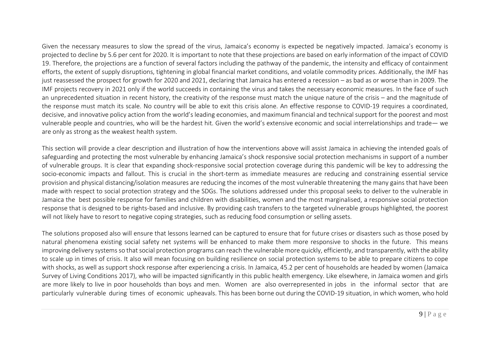Given the necessary measures to slow the spread of the virus, Jamaica's economy is expected be negatively impacted. Jamaica's economy is projected to decline by 5.6 per cent for 2020. It is important to note that these projections are based on early information of the impact of COVID 19. Therefore, the projections are a function of several factors including the pathway of the pandemic, the intensity and efficacy of containment efforts, the extent of supply disruptions, tightening in global financial market conditions, and volatile commodity prices. Additionally, the IMF has just reassessed the prospect for growth for 2020 and 2021, declaring that Jamaica has entered a recession – as bad as or worse than in 2009. The IMF projects recovery in 2021 only if the world succeeds in containing the virus and takes the necessary economic measures. In the face of such an unprecedented situation in recent history, the creativity of the response must match the unique nature of the crisis – and the magnitude of the response must match its scale. No country will be able to exit this crisis alone. An effective response to COVID-19 requires a coordinated, decisive, and innovative policy action from the world's leading economies, and maximum financial and technical support for the poorest and most vulnerable people and countries, who will be the hardest hit. Given the world's extensive economic and social interrelationships and trade— we are only as strong as the weakest health system.

This section will provide a clear description and illustration of how the interventions above will assist Jamaica in achieving the intended goals of safeguarding and protecting the most vulnerable by enhancing Jamaica's shock responsive social protection mechanisms in support of a number of vulnerable groups. It is clear that expanding shock-responsive social protection coverage during this pandemic will be key to addressing the socio-economic impacts and fallout. This is crucial in the short-term as immediate measures are reducing and constraining essential service provision and physical distancing/isolation measures are reducing the incomes of the most vulnerable threatening the many gains that have been made with respect to social protection strategy and the SDGs. The solutions addressed under this proposal seeks to deliver to the vulnerable in Jamaica the best possible response for families and children with disabilities, women and the most marginalised, a responsive social protection response that is designed to be rights-based and inclusive. By providing cash transfers to the targeted vulnerable groups highlighted, the poorest will not likely have to resort to negative coping strategies, such as reducing food consumption or selling assets.

The solutions proposed also will ensure that lessons learned can be captured to ensure that for future crises or disasters such as those posed by natural phenomena existing social safety net systems will be enhanced to make them more responsive to shocks in the future. This means improving delivery systems so that social protection programs can reach the vulnerable more quickly, efficiently, and transparently, with the ability to scale up in times of crisis. It also will mean focusing on building resilience on social protection systems to be able to prepare citizens to cope with shocks, as well as support shock response after experiencing a crisis. In Jamaica, 45.2 per cent of households are headed by women (Jamaica Survey of Living Conditions 2017), who will be impacted significantly in this public health emergency. Like elsewhere, in Jamaica women and girls are more likely to live in poor households than boys and men. Women are also overrepresented in jobs in the informal sector that are particularly vulnerable during times of economic upheavals. This has been borne out during the COVID-19 situation, in which women, who hold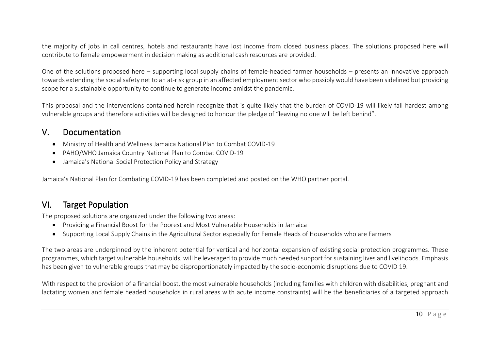the majority of jobs in call centres, hotels and restaurants have lost income from closed business places. The solutions proposed here will contribute to female empowerment in decision making as additional cash resources are provided.

One of the solutions proposed here – supporting local supply chains of female-headed farmer households – presents an innovative approach towards extending the social safety net to an at-risk group in an affected employment sector who possibly would have been sidelined but providing scope for a sustainable opportunity to continue to generate income amidst the pandemic.

This proposal and the interventions contained herein recognize that is quite likely that the burden of COVID-19 will likely fall hardest among vulnerable groups and therefore activities will be designed to honour the pledge of "leaving no one will be left behind".

### V. Documentation

- Ministry of Health and Wellness Jamaica National Plan to Combat COVID-19
- PAHO/WHO Jamaica Country National Plan to Combat COVID-19
- Jamaica's National Social Protection Policy and Strategy

Jamaica's National Plan for Combating COVID-19 has been completed and posted on the WHO partner portal.

# VI. Target Population

The proposed solutions are organized under the following two areas:

- Providing a Financial Boost for the Poorest and Most Vulnerable Households in Jamaica
- Supporting Local Supply Chains in the Agricultural Sector especially for Female Heads of Households who are Farmers

The two areas are underpinned by the inherent potential for vertical and horizontal expansion of existing social protection programmes. These programmes, which target vulnerable households, will be leveraged to provide much needed support for sustaining lives and livelihoods. Emphasis has been given to vulnerable groups that may be disproportionately impacted by the socio-economic disruptions due to COVID 19.

With respect to the provision of a financial boost, the most vulnerable households (including families with children with disabilities, pregnant and lactating women and female headed households in rural areas with acute income constraints) will be the beneficiaries of a targeted approach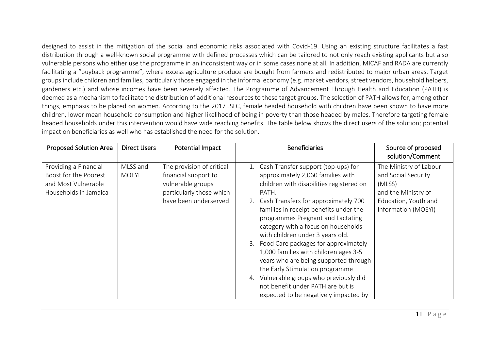designed to assist in the mitigation of the social and economic risks associated with Covid-19. Using an existing structure facilitates a fast distribution through a well-known social programme with defined processes which can be tailored to not only reach existing applicants but also vulnerable persons who either use the programme in an inconsistent way or in some cases none at all. In addition, MICAF and RADA are currently facilitating a "buyback programme", where excess agriculture produce are bought from farmers and redistributed to major urban areas. Target groups include children and families, particularly those engaged in the informal economy (e.g. market vendors, street vendors, household helpers, gardeners etc.) and whose incomes have been severely affected. The Programme of Advancement Through Health and Education (PATH) is deemed as a mechanism to facilitate the distribution of additional resources to these target groups. The selection of PATH allows for, among other things, emphasis to be placed on women. According to the 2017 JSLC, female headed household with children have been shown to have more children, lower mean household consumption and higher likelihood of being in poverty than those headed by males. Therefore targeting female headed households under this intervention would have wide reaching benefits. The table below shows the direct users of the solution; potential impact on beneficiaries as well who has established the need for the solution.

| <b>Proposed Solution Area</b>                                                                  | <b>Direct Users</b>      | Potential Impact                                                                                                             | <b>Beneficiaries</b><br>Source of proposed<br>solution/Comment                                                                                                                                                                                                                                                                                                                                                                                                                                                                                                                                                                                                                                                                                                  |
|------------------------------------------------------------------------------------------------|--------------------------|------------------------------------------------------------------------------------------------------------------------------|-----------------------------------------------------------------------------------------------------------------------------------------------------------------------------------------------------------------------------------------------------------------------------------------------------------------------------------------------------------------------------------------------------------------------------------------------------------------------------------------------------------------------------------------------------------------------------------------------------------------------------------------------------------------------------------------------------------------------------------------------------------------|
| Providing a Financial<br>Boost for the Poorest<br>and Most Vulnerable<br>Households in Jamaica | MLSS and<br><b>MOEYI</b> | The provision of critical<br>financial support to<br>vulnerable groups<br>particularly those which<br>have been underserved. | The Ministry of Labour<br>1. Cash Transfer support (top-ups) for<br>approximately 2,060 families with<br>and Social Security<br>children with disabilities registered on<br>(MLSS)<br>and the Ministry of<br>PATH.<br>2. Cash Transfers for approximately 700<br>Education, Youth and<br>families in receipt benefits under the<br>Information (MOEYI)<br>programmes Pregnant and Lactating<br>category with a focus on households<br>with children under 3 years old.<br>Food Care packages for approximately<br>1,000 families with children ages 3-5<br>years who are being supported through<br>the Early Stimulation programme<br>Vulnerable groups who previously did<br>4.<br>not benefit under PATH are but is<br>expected to be negatively impacted by |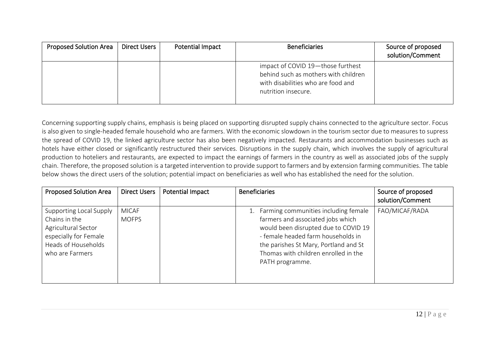| <b>Proposed Solution Area</b> | Direct Users | Potential Impact | <b>Beneficiaries</b>                                                                                                                   | Source of proposed<br>solution/Comment |
|-------------------------------|--------------|------------------|----------------------------------------------------------------------------------------------------------------------------------------|----------------------------------------|
|                               |              |                  | impact of COVID 19-those furthest<br>behind such as mothers with children<br>with disabilities who are food and<br>nutrition insecure. |                                        |

Concerning supporting supply chains, emphasis is being placed on supporting disrupted supply chains connected to the agriculture sector. Focus is also given to single-headed female household who are farmers. With the economic slowdown in the tourism sector due to measures to supress the spread of COVID 19, the linked agriculture sector has also been negatively impacted. Restaurants and accommodation businesses such as hotels have either closed or significantly restructured their services. Disruptions in the supply chain, which involves the supply of agricultural production to hoteliers and restaurants, are expected to impact the earnings of farmers in the country as well as associated jobs of the supply chain. Therefore, the proposed solution is a targeted intervention to provide support to farmers and by extension farming communities. The table below shows the direct users of the solution; potential impact on beneficiaries as well who has established the need for the solution.

| <b>Proposed Solution Area</b>                                                                                                      | <b>Direct Users</b>          | Potential Impact | <b>Beneficiaries</b>                                                                                                                                                                                                                                        | Source of proposed<br>solution/Comment |
|------------------------------------------------------------------------------------------------------------------------------------|------------------------------|------------------|-------------------------------------------------------------------------------------------------------------------------------------------------------------------------------------------------------------------------------------------------------------|----------------------------------------|
| Supporting Local Supply<br>Chains in the<br>Agricultural Sector<br>especially for Female<br>Heads of Households<br>who are Farmers | <b>MICAF</b><br><b>MOFPS</b> |                  | Farming communities including female<br>farmers and associated jobs which<br>would been disrupted due to COVID 19<br>- female headed farm households in<br>the parishes St Mary, Portland and St<br>Thomas with children enrolled in the<br>PATH programme. | FAO/MICAF/RADA                         |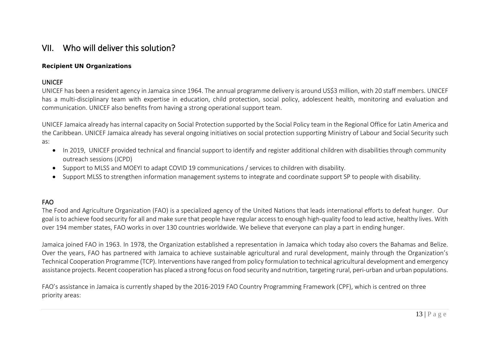# VII. Who will deliver this solution?

#### **Recipient UN Organizations**

#### UNICEF

UNICEF has been a resident agency in Jamaica since 1964. The annual programme delivery is around US\$3 million, with 20 staff members. UNICEF has a multi-disciplinary team with expertise in education, child protection, social policy, adolescent health, monitoring and evaluation and communication. UNICEF also benefits from having a strong operational support team.

UNICEF Jamaica already has internal capacity on Social Protection supported by the Social Policy team in the Regional Office for Latin America and the Caribbean. UNICEF Jamaica already has several ongoing initiatives on social protection supporting Ministry of Labour and Social Security such as:

- In 2019, UNICEF provided technical and financial support to identify and register additional children with disabilities through community outreach sessions (JCPD)
- Support to MLSS and MOEYI to adapt COVID 19 communications / services to children with disability.
- Support MLSS to strengthen information management systems to integrate and coordinate support SP to people with disability.

#### FAO

The Food and Agriculture Organization (FAO) is a specialized agency of the United Nations that leads international efforts to defeat hunger. Our goal is to achieve food security for all and make sure that people have regular access to enough high-quality food to lead active, healthy lives. With over 194 member states, FAO works in over 130 countries worldwide. We believe that everyone can play a part in ending hunger.

Jamaica joined FAO in 1963. In 1978, the Organization established a representation in Jamaica which today also covers the Bahamas and Belize. Over the years, FAO has partnered with Jamaica to achieve sustainable agricultural and rural development, mainly through the Organization's Technical Cooperation Programme (TCP). Interventions have ranged from policy formulation to technical agricultural development and emergency assistance projects. Recent cooperation has placed a strong focus on food security and nutrition, targeting rural, peri-urban and urban populations.

FAO's assistance in Jamaica is currently shaped by the 2016-2019 FAO Country Programming Framework (CPF), which is centred on three priority areas: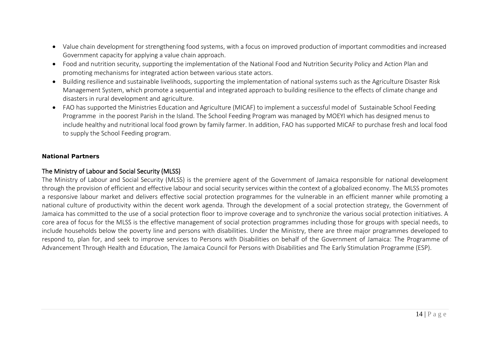- Value chain development for strengthening food systems, with a focus on improved production of important commodities and increased Government capacity for applying a value chain approach.
- Food and nutrition security, supporting the implementation of the National Food and Nutrition Security Policy and Action Plan and promoting mechanisms for integrated action between various state actors.
- Building resilience and sustainable livelihoods, supporting the implementation of national systems such as the Agriculture Disaster Risk Management System, which promote a sequential and integrated approach to building resilience to the effects of climate change and disasters in rural development and agriculture.
- FAO has supported the Ministries Education and Agriculture (MICAF) to implement a successful model of Sustainable School Feeding Programme in the poorest Parish in the Island. The School Feeding Program was managed by MOEYI which has designed menus to include healthy and nutritional local food grown by family farmer. In addition, FAO has supported MICAF to purchase fresh and local food to supply the School Feeding program.

#### **National Partners**

#### The Ministry of Labour and Social Security (MLSS)

The Ministry of Labour and Social Security (MLSS) is the premiere agent of the Government of Jamaica responsible for national development through the provision of efficient and effective labour and social security services within the context of a globalized economy. The MLSS promotes a responsive labour market and delivers effective social protection programmes for the vulnerable in an efficient manner while promoting a national culture of productivity within the decent work agenda. Through the development of a social protection strategy, the Government of Jamaica has committed to the use of a social protection floor to improve coverage and to synchronize the various social protection initiatives. A core area of focus for the MLSS is the effective management of social protection programmes including those for groups with special needs, to include households below the poverty line and persons with disabilities. Under the Ministry, there are three major programmes developed to respond to, plan for, and seek to improve services to Persons with Disabilities on behalf of the Government of Jamaica: The Programme of Advancement Through Health and Education, The Jamaica Council for Persons with Disabilities and The Early Stimulation Programme (ESP).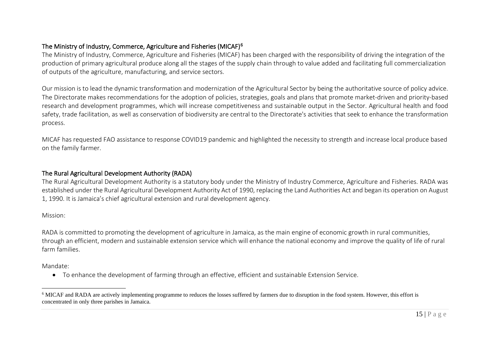#### <span id="page-14-0"></span>The Ministry of Industry, Commerce, Agriculture and Fisheries (MICAF)[6](#page-14-0)

The Ministry of Industry, Commerce, Agriculture and Fisheries (MICAF) has been charged with the responsibility of driving the integration of the production of primary agricultural produce along all the stages of the supply chain through to value added and facilitating full commercialization of outputs of the agriculture, manufacturing, and service sectors.

Our mission is to lead the dynamic transformation and modernization of the Agricultural Sector by being the authoritative source of policy advice. The Directorate makes recommendations for the adoption of policies, strategies, goals and plans that promote market-driven and priority-based research and development programmes, which will increase competitiveness and sustainable output in the Sector. Agricultural health and food safety, trade facilitation, as well as conservation of biodiversity are central to the Directorate's activities that seek to enhance the transformation process.

MICAF has requested FAO assistance to response COVID19 pandemic and highlighted the necessity to strength and increase local produce based on the family farmer.

#### The Rural Agricultural Development Authority (RADA)

The Rural Agricultural Development Authority is a statutory body under the Ministry of Industry Commerce, Agriculture and Fisheries. RADA was established under the Rural Agricultural Development Authority Act of 1990, replacing the Land Authorities Act and began its operation on August 1, 1990. It is Jamaica's chief agricultural extension and rural development agency.

#### Mission:

RADA is committed to promoting the development of agriculture in Jamaica, as the main engine of economic growth in rural communities, through an efficient, modern and sustainable extension service which will enhance the national economy and improve the quality of life of rural farm families.

Mandate:

• To enhance the development of farming through an effective, efficient and sustainable Extension Service.

<sup>&</sup>lt;sup>6</sup> MICAF and RADA are actively implementing programme to reduces the losses suffered by farmers due to disruption in the food system. However, this effort is concentrated in only three parishes in Jamaica.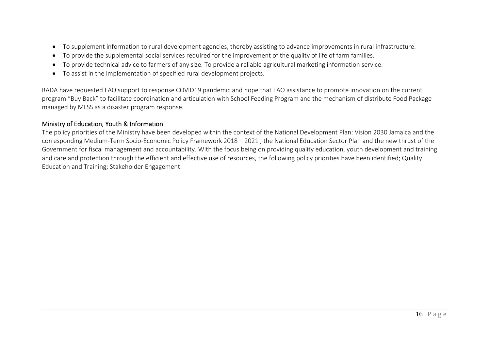- To supplement information to rural development agencies, thereby assisting to advance improvements in rural infrastructure.
- To provide the supplemental social services required for the improvement of the quality of life of farm families.
- To provide technical advice to farmers of any size. To provide a reliable agricultural marketing information service.
- To assist in the implementation of specified rural development projects.

RADA have requested FAO support to response COVID19 pandemic and hope that FAO assistance to promote innovation on the current program "Buy Back" to facilitate coordination and articulation with School Feeding Program and the mechanism of distribute Food Package managed by MLSS as a disaster program response.

#### Ministry of Education, Youth & Information

The policy priorities of the Ministry have been developed within the context of the National Development Plan: Vision 2030 Jamaica and the corresponding Medium-Term Socio-Economic Policy Framework 2018 – 2021 , the National Education Sector Plan and the new thrust of the Government for fiscal management and accountability. With the focus being on providing quality education, youth development and training and care and protection through the efficient and effective use of resources, the following policy priorities have been identified; Quality Education and Training; Stakeholder Engagement.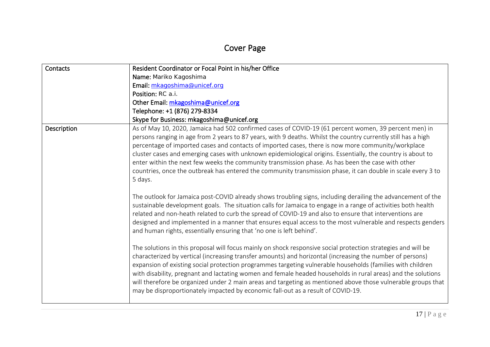# Cover Page

| Contacts    | Resident Coordinator or Focal Point in his/her Office                                                                                                                                                                                                                                                                                                                                                                                                                                                                                                                                                                                                                       |
|-------------|-----------------------------------------------------------------------------------------------------------------------------------------------------------------------------------------------------------------------------------------------------------------------------------------------------------------------------------------------------------------------------------------------------------------------------------------------------------------------------------------------------------------------------------------------------------------------------------------------------------------------------------------------------------------------------|
|             | Name: Mariko Kagoshima                                                                                                                                                                                                                                                                                                                                                                                                                                                                                                                                                                                                                                                      |
|             | Email: mkagoshima@unicef.org                                                                                                                                                                                                                                                                                                                                                                                                                                                                                                                                                                                                                                                |
|             | Position: RC a.i.                                                                                                                                                                                                                                                                                                                                                                                                                                                                                                                                                                                                                                                           |
|             | Other Email: mkagoshima@unicef.org                                                                                                                                                                                                                                                                                                                                                                                                                                                                                                                                                                                                                                          |
|             | Telephone: +1 (876) 279-8334                                                                                                                                                                                                                                                                                                                                                                                                                                                                                                                                                                                                                                                |
|             | Skype for Business: mkagoshima@unicef.org                                                                                                                                                                                                                                                                                                                                                                                                                                                                                                                                                                                                                                   |
| Description | As of May 10, 2020, Jamaica had 502 confirmed cases of COVID-19 (61 percent women, 39 percent men) in<br>persons ranging in age from 2 years to 87 years, with 9 deaths. Whilst the country currently still has a high<br>percentage of imported cases and contacts of imported cases, there is now more community/workplace<br>cluster cases and emerging cases with unknown epidemiological origins. Essentially, the country is about to<br>enter within the next few weeks the community transmission phase. As has been the case with other<br>countries, once the outbreak has entered the community transmission phase, it can double in scale every 3 to<br>5 days. |
|             | The outlook for Jamaica post-COVID already shows troubling signs, including derailing the advancement of the<br>sustainable development goals. The situation calls for Jamaica to engage in a range of activities both health<br>related and non-heath related to curb the spread of COVID-19 and also to ensure that interventions are<br>designed and implemented in a manner that ensures equal access to the most vulnerable and respects genders<br>and human rights, essentially ensuring that 'no one is left behind'.                                                                                                                                               |
|             | The solutions in this proposal will focus mainly on shock responsive social protection strategies and will be<br>characterized by vertical (increasing transfer amounts) and horizontal (increasing the number of persons)<br>expansion of existing social protection programmes targeting vulnerable households (families with children<br>with disability, pregnant and lactating women and female headed households in rural areas) and the solutions<br>will therefore be organized under 2 main areas and targeting as mentioned above those vulnerable groups that<br>may be disproportionately impacted by economic fall-out as a result of COVID-19.                |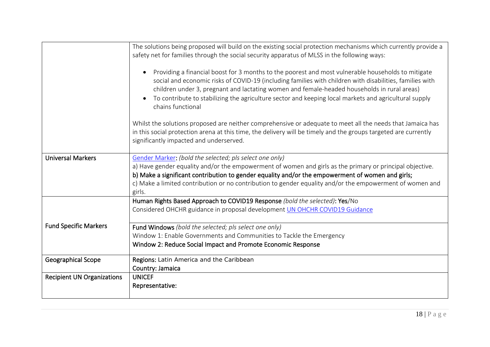|                                   | The solutions being proposed will build on the existing social protection mechanisms which currently provide a<br>safety net for families through the social security apparatus of MLSS in the following ways:                                                                                                                                                                                                                                           |
|-----------------------------------|----------------------------------------------------------------------------------------------------------------------------------------------------------------------------------------------------------------------------------------------------------------------------------------------------------------------------------------------------------------------------------------------------------------------------------------------------------|
|                                   | Providing a financial boost for 3 months to the poorest and most vulnerable households to mitigate<br>social and economic risks of COVID-19 (including families with children with disabilities, families with<br>children under 3, pregnant and lactating women and female-headed households in rural areas)<br>To contribute to stabilizing the agriculture sector and keeping local markets and agricultural supply<br>$\bullet$<br>chains functional |
|                                   | Whilst the solutions proposed are neither comprehensive or adequate to meet all the needs that Jamaica has<br>in this social protection arena at this time, the delivery will be timely and the groups targeted are currently<br>significantly impacted and underserved.                                                                                                                                                                                 |
| <b>Universal Markers</b>          | Gender Marker: (bold the selected; pls select one only)                                                                                                                                                                                                                                                                                                                                                                                                  |
|                                   | a) Have gender equality and/or the empowerment of women and girls as the primary or principal objective.                                                                                                                                                                                                                                                                                                                                                 |
|                                   | b) Make a significant contribution to gender equality and/or the empowerment of women and girls;                                                                                                                                                                                                                                                                                                                                                         |
|                                   | c) Make a limited contribution or no contribution to gender equality and/or the empowerment of women and<br>girls.                                                                                                                                                                                                                                                                                                                                       |
|                                   | Human Rights Based Approach to COVID19 Response (bold the selected): Yes/No                                                                                                                                                                                                                                                                                                                                                                              |
|                                   | Considered OHCHR guidance in proposal development UN OHCHR COVID19 Guidance                                                                                                                                                                                                                                                                                                                                                                              |
| <b>Fund Specific Markers</b>      | Fund Windows (bold the selected; pls select one only)                                                                                                                                                                                                                                                                                                                                                                                                    |
|                                   | Window 1: Enable Governments and Communities to Tackle the Emergency                                                                                                                                                                                                                                                                                                                                                                                     |
|                                   | Window 2: Reduce Social Impact and Promote Economic Response                                                                                                                                                                                                                                                                                                                                                                                             |
| <b>Geographical Scope</b>         | Regions: Latin America and the Caribbean                                                                                                                                                                                                                                                                                                                                                                                                                 |
|                                   | Country: Jamaica                                                                                                                                                                                                                                                                                                                                                                                                                                         |
| <b>Recipient UN Organizations</b> | <b>UNICEF</b>                                                                                                                                                                                                                                                                                                                                                                                                                                            |
|                                   | Representative:                                                                                                                                                                                                                                                                                                                                                                                                                                          |
|                                   |                                                                                                                                                                                                                                                                                                                                                                                                                                                          |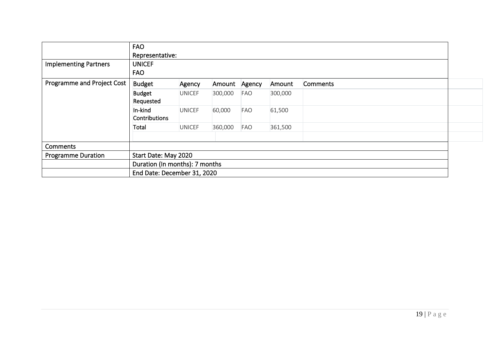|                              | <b>FAO</b>                     |                             |         |        |         |          |  |  |  |  |
|------------------------------|--------------------------------|-----------------------------|---------|--------|---------|----------|--|--|--|--|
|                              |                                | Representative:             |         |        |         |          |  |  |  |  |
| <b>Implementing Partners</b> | <b>UNICEF</b>                  |                             |         |        |         |          |  |  |  |  |
|                              | <b>FAO</b>                     |                             |         |        |         |          |  |  |  |  |
| Programme and Project Cost   | <b>Budget</b>                  | Agency                      | Amount  | Agency | Amount  | Comments |  |  |  |  |
|                              | <b>Budget</b><br>Requested     | <b>UNICEF</b>               | 300,000 | FAO    | 300,000 |          |  |  |  |  |
|                              | In-kind<br>Contributions       | <b>UNICEF</b>               | 60,000  | FAO    | 61,500  |          |  |  |  |  |
|                              | Total                          | <b>UNICEF</b>               | 360,000 | FAO    | 361,500 |          |  |  |  |  |
| Comments                     |                                |                             |         |        |         |          |  |  |  |  |
| <b>Programme Duration</b>    |                                | Start Date: May 2020        |         |        |         |          |  |  |  |  |
|                              | Duration (In months): 7 months |                             |         |        |         |          |  |  |  |  |
|                              |                                | End Date: December 31, 2020 |         |        |         |          |  |  |  |  |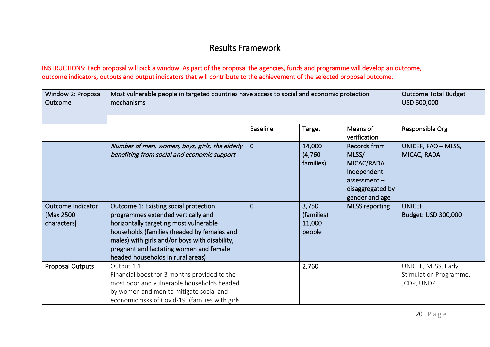# Results Framework

#### INSTRUCTIONS: Each proposal will pick a window. As part of the proposal the agencies, funds and programme will develop an outcome, outcome indicators, outputs and output indicators that will contribute to the achievement of the selected proposal outcome.

| Window 2: Proposal<br>Outcome                        | Most vulnerable people in targeted countries have access to social and economic protection<br>mechanisms                                                                                                                                                                                               |                 | <b>Outcome Total Budget</b><br>USD 600,000 |                                                                                                            |                                                             |
|------------------------------------------------------|--------------------------------------------------------------------------------------------------------------------------------------------------------------------------------------------------------------------------------------------------------------------------------------------------------|-----------------|--------------------------------------------|------------------------------------------------------------------------------------------------------------|-------------------------------------------------------------|
|                                                      |                                                                                                                                                                                                                                                                                                        |                 |                                            |                                                                                                            |                                                             |
|                                                      |                                                                                                                                                                                                                                                                                                        | <b>Baseline</b> | Target                                     | Means of<br>verification                                                                                   | Responsible Org                                             |
|                                                      | Number of men, women, boys, girls, the elderly<br>benefiting from social and economic support                                                                                                                                                                                                          | $\overline{0}$  | 14,000<br>(4,760)<br>families)             | Records from<br>MLSS/<br>MICAC/RADA<br>Independent<br>$assessment -$<br>disaggregated by<br>gender and age | UNICEF, FAO - MLSS,<br>MICAC, RADA                          |
| <b>Outcome Indicator</b><br>[Max 2500<br>characters] | Outcome 1: Existing social protection<br>programmes extended vertically and<br>horizontally targeting most vulnerable<br>households (families (headed by females and<br>males) with girls and/or boys with disability,<br>pregnant and lactating women and female<br>headed households in rural areas) | $\overline{0}$  | 3,750<br>(families)<br>11,000<br>people    | <b>MLSS reporting</b>                                                                                      | <b>UNICEF</b><br>Budget: USD 300,000                        |
| <b>Proposal Outputs</b>                              | Output 1.1<br>Financial boost for 3 months provided to the<br>most poor and vulnerable households headed<br>by women and men to mitigate social and<br>economic risks of Covid-19. (families with girls                                                                                                |                 | 2,760                                      |                                                                                                            | UNICEF, MLSS, Early<br>Stimulation Programme,<br>JCDP, UNDP |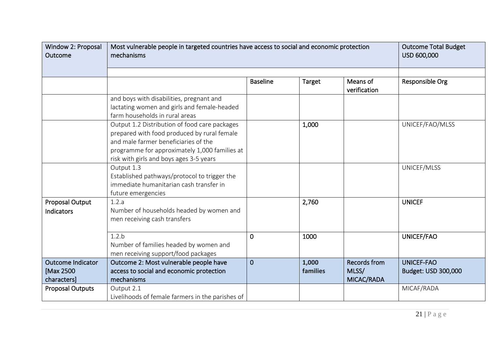| Window 2: Proposal<br>Outcome                        | Most vulnerable people in targeted countries have access to social and economic protection<br>mechanisms                                                                                                                         |                 | <b>Outcome Total Budget</b><br>USD 600,000 |                                            |                                          |
|------------------------------------------------------|----------------------------------------------------------------------------------------------------------------------------------------------------------------------------------------------------------------------------------|-----------------|--------------------------------------------|--------------------------------------------|------------------------------------------|
|                                                      |                                                                                                                                                                                                                                  |                 |                                            |                                            |                                          |
|                                                      |                                                                                                                                                                                                                                  | <b>Baseline</b> | Target                                     | Means of<br>verification                   | Responsible Org                          |
|                                                      | and boys with disabilities, pregnant and<br>lactating women and girls and female-headed<br>farm households in rural areas                                                                                                        |                 |                                            |                                            |                                          |
|                                                      | Output 1.2 Distribution of food care packages<br>prepared with food produced by rural female<br>and male farmer beneficiaries of the<br>programme for approximately 1,000 families at<br>risk with girls and boys ages 3-5 years |                 | 1,000                                      |                                            | UNICEF/FAO/MLSS                          |
|                                                      | Output 1.3<br>Established pathways/protocol to trigger the<br>immediate humanitarian cash transfer in<br>future emergencies                                                                                                      |                 |                                            |                                            | UNICEF/MLSS                              |
| <b>Proposal Output</b><br>Indicators                 | 1.2.a<br>Number of households headed by women and<br>men receiving cash transfers                                                                                                                                                |                 | 2,760                                      |                                            | <b>UNICEF</b>                            |
|                                                      | 1.2.b<br>Number of families headed by women and<br>men receiving support/food packages                                                                                                                                           | $\Omega$        | 1000                                       |                                            | UNICEF/FAO                               |
| <b>Outcome Indicator</b><br>[Max 2500<br>characters] | Outcome 2: Most vulnerable people have<br>access to social and economic protection<br>mechanisms                                                                                                                                 | $\overline{0}$  | 1,000<br><b>families</b>                   | <b>Records from</b><br>MLSS/<br>MICAC/RADA | <b>UNICEF-FAO</b><br>Budget: USD 300,000 |
| <b>Proposal Outputs</b>                              | Output 2.1<br>Livelihoods of female farmers in the parishes of                                                                                                                                                                   |                 |                                            |                                            | MICAF/RADA                               |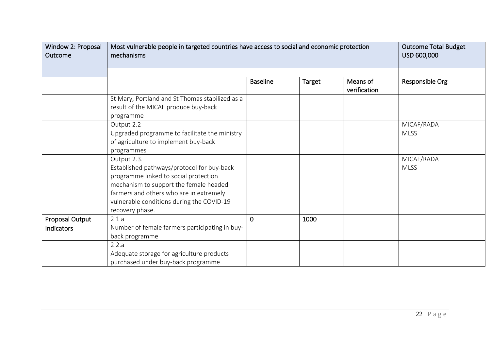| Window 2: Proposal<br>Outcome        | Most vulnerable people in targeted countries have access to social and economic protection<br>mechanisms                                                                                                                                                | <b>Outcome Total Budget</b><br>USD 600,000 |               |                          |                           |
|--------------------------------------|---------------------------------------------------------------------------------------------------------------------------------------------------------------------------------------------------------------------------------------------------------|--------------------------------------------|---------------|--------------------------|---------------------------|
|                                      |                                                                                                                                                                                                                                                         |                                            |               |                          |                           |
|                                      |                                                                                                                                                                                                                                                         | <b>Baseline</b>                            | <b>Target</b> | Means of<br>verification | Responsible Org           |
|                                      | St Mary, Portland and St Thomas stabilized as a<br>result of the MICAF produce buy-back<br>programme                                                                                                                                                    |                                            |               |                          |                           |
|                                      | Output 2.2<br>Upgraded programme to facilitate the ministry<br>of agriculture to implement buy-back<br>programmes                                                                                                                                       |                                            |               |                          | MICAF/RADA<br><b>MLSS</b> |
|                                      | Output 2.3.<br>Established pathways/protocol for buy-back<br>programme linked to social protection<br>mechanism to support the female headed<br>farmers and others who are in extremely<br>vulnerable conditions during the COVID-19<br>recovery phase. |                                            |               |                          | MICAF/RADA<br><b>MLSS</b> |
| Proposal Output<br><b>Indicators</b> | 2.1a<br>Number of female farmers participating in buy-<br>back programme                                                                                                                                                                                | $\mathbf 0$                                | 1000          |                          |                           |
|                                      | 2.2.a<br>Adequate storage for agriculture products<br>purchased under buy-back programme                                                                                                                                                                |                                            |               |                          |                           |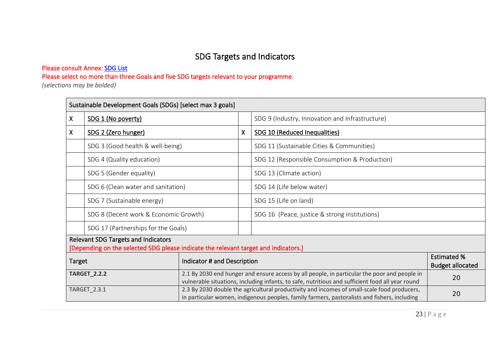# SDG Targets and Indicators

#### Please consult Annex: SDG List

Please select no more than three Goals and five SDG targets relevant to your programme.

*(selections may be bolded)* 

|    | Sustainable Development Goals (SDGs) [select max 3 goals]                                                                         |  |   |                                                                                                                                                                                                  |                                               |  |  |
|----|-----------------------------------------------------------------------------------------------------------------------------------|--|---|--------------------------------------------------------------------------------------------------------------------------------------------------------------------------------------------------|-----------------------------------------------|--|--|
| X. | SDG 1 (No poverty)                                                                                                                |  |   | SDG 9 (Industry, Innovation and Infrastructure)                                                                                                                                                  |                                               |  |  |
| X. | SDG 2 (Zero hunger)                                                                                                               |  | X | SDG 10 (Reduced Inequalities)                                                                                                                                                                    |                                               |  |  |
|    | SDG 3 (Good health & well-being)                                                                                                  |  |   | SDG 11 (Sustainable Cities & Communities)                                                                                                                                                        |                                               |  |  |
|    | SDG 4 (Quality education)                                                                                                         |  |   | SDG 12 (Responsible Consumption & Production)                                                                                                                                                    |                                               |  |  |
|    | SDG 5 (Gender equality)                                                                                                           |  |   | SDG 13 (Climate action)                                                                                                                                                                          |                                               |  |  |
|    | SDG 6 (Clean water and sanitation)                                                                                                |  |   | SDG 14 (Life below water)                                                                                                                                                                        |                                               |  |  |
|    | SDG 7 (Sustainable energy)                                                                                                        |  |   | SDG 15 (Life on land)                                                                                                                                                                            |                                               |  |  |
|    | SDG 8 (Decent work & Economic Growth)                                                                                             |  |   | SDG 16 (Peace, justice & strong institutions)                                                                                                                                                    |                                               |  |  |
|    | SDG 17 (Partnerships for the Goals)                                                                                               |  |   |                                                                                                                                                                                                  |                                               |  |  |
|    | <b>Relevant SDG Targets and Indicators</b><br>[Depending on the selected SDG please indicate the relevant target and indicators.] |  |   |                                                                                                                                                                                                  |                                               |  |  |
|    | Indicator # and Description<br><b>Target</b>                                                                                      |  |   |                                                                                                                                                                                                  | <b>Estimated %</b><br><b>Budget allocated</b> |  |  |
|    | <b>TARGET_2.2.2</b>                                                                                                               |  |   | 2.1 By 2030 end hunger and ensure access by all people, in particular the poor and people in<br>vulnerable situations, including infants, to safe, nutritious and sufficient food all year round | 20                                            |  |  |
|    | TARGET_2.3.1                                                                                                                      |  |   | 2.3 By 2030 double the agricultural productivity and incomes of small-scale food producers,<br>in particular women, indigenous peoples, family farmers, pastoralists and fishers, including      | 20                                            |  |  |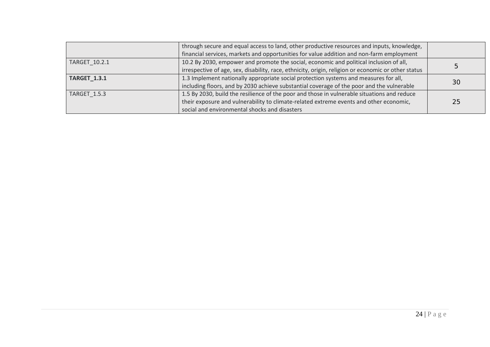|                     | through secure and equal access to land, other productive resources and inputs, knowledge,          |    |  |
|---------------------|-----------------------------------------------------------------------------------------------------|----|--|
|                     | financial services, markets and opportunities for value addition and non-farm employment            |    |  |
| TARGET 10.2.1       | 10.2 By 2030, empower and promote the social, economic and political inclusion of all,              |    |  |
|                     | irrespective of age, sex, disability, race, ethnicity, origin, religion or economic or other status | C  |  |
| <b>TARGET_1.3.1</b> | 1.3 Implement nationally appropriate social protection systems and measures for all,                |    |  |
|                     | including floors, and by 2030 achieve substantial coverage of the poor and the vulnerable           | 30 |  |
| <b>TARGET 1.5.3</b> | 1.5 By 2030, build the resilience of the poor and those in vulnerable situations and reduce         |    |  |
|                     | their exposure and vulnerability to climate-related extreme events and other economic,              | 25 |  |
|                     | social and environmental shocks and disasters                                                       |    |  |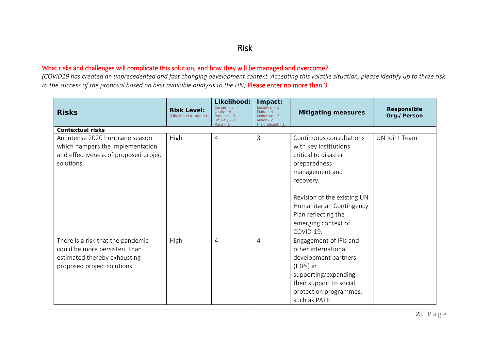# Risk

#### What risks and challenges will complicate this solution, and how they will be managed and overcome?

*(COVID19 has created an unprecedented and fast changing development context. Accepting this volatile situation, please identify up to three risk to the success of the proposal based on best available analysis to the UN)* Please enter no more than 3.

| <b>Risks</b>                                                                                                                      | <b>Risk Level:</b><br>(Likelihood x Impact) | Likelihood:<br>Certain - 5<br>Likely - 4<br>Possible - 3<br>Unlikely - 2<br>$Rare - 1$ | Impact:<br>Essential $-5$<br>Maior - 4<br>Moderate - 3<br>Minor - $2$<br>Insignificant - 1 | <b>Mitigating measures</b>                                                                                                                                                      | <b>Responsible</b><br>Org./Person |
|-----------------------------------------------------------------------------------------------------------------------------------|---------------------------------------------|----------------------------------------------------------------------------------------|--------------------------------------------------------------------------------------------|---------------------------------------------------------------------------------------------------------------------------------------------------------------------------------|-----------------------------------|
| <b>Contextual risks</b>                                                                                                           |                                             |                                                                                        |                                                                                            |                                                                                                                                                                                 |                                   |
| An intense 2020 hurricane season                                                                                                  | High                                        | $\overline{4}$                                                                         | 3                                                                                          | Continuous consultations                                                                                                                                                        | <b>UN Joint Team</b>              |
| which hampers the implementation                                                                                                  |                                             |                                                                                        |                                                                                            | with key institutions                                                                                                                                                           |                                   |
| and effectiveness of proposed project                                                                                             |                                             |                                                                                        |                                                                                            | critical to disaster                                                                                                                                                            |                                   |
| solutions.                                                                                                                        |                                             |                                                                                        |                                                                                            | preparedness                                                                                                                                                                    |                                   |
|                                                                                                                                   |                                             |                                                                                        |                                                                                            | management and                                                                                                                                                                  |                                   |
|                                                                                                                                   |                                             |                                                                                        |                                                                                            | recovery.                                                                                                                                                                       |                                   |
|                                                                                                                                   |                                             |                                                                                        |                                                                                            | Revision of the existing UN<br>Humanitarian Contingency<br>Plan reflecting the<br>emerging context of<br>COVID-19.                                                              |                                   |
| There is a risk that the pandemic<br>could be more persistent than<br>estimated thereby exhausting<br>proposed project solutions. | High                                        | $\overline{4}$                                                                         | 4                                                                                          | Engagement of IFIs and<br>other international<br>development partners<br>(IDPs) in<br>supporting/expanding<br>their support to social<br>protection programmes,<br>such as PATH |                                   |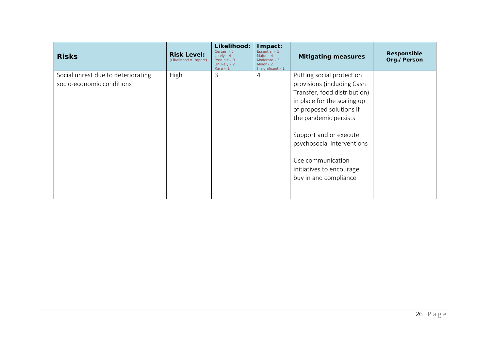| <b>Risks</b>                                                    | <b>Risk Level:</b><br>(Likelihood x Impact) | Likelihood:<br>Certain - 5<br>Likely - 4<br>Possible - 3<br>Unlikely - 2<br>$Rare - 1$ | Impact:<br>Essential $-5$<br>Maior - 4<br>Moderate - 3<br>Minor - $2$<br>Insignificant - 1 | <b>Mitigating measures</b>                                                                                                                                                                                                                                                                                    | <b>Responsible</b><br>Org./Person |
|-----------------------------------------------------------------|---------------------------------------------|----------------------------------------------------------------------------------------|--------------------------------------------------------------------------------------------|---------------------------------------------------------------------------------------------------------------------------------------------------------------------------------------------------------------------------------------------------------------------------------------------------------------|-----------------------------------|
| Social unrest due to deteriorating<br>socio-economic conditions | High                                        | 3                                                                                      | 4                                                                                          | Putting social protection<br>provisions (including Cash<br>Transfer, food distribution)<br>in place for the scaling up<br>of proposed solutions if<br>the pandemic persists<br>Support and or execute<br>psychosocial interventions<br>Use communication<br>initiatives to encourage<br>buy in and compliance |                                   |